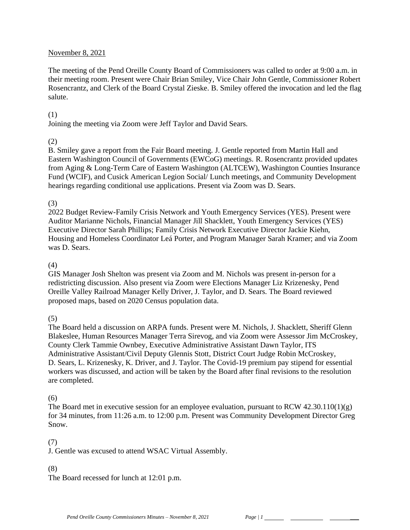#### November 8, 2021

The meeting of the Pend Oreille County Board of Commissioners was called to order at 9:00 a.m. in their meeting room. Present were Chair Brian Smiley, Vice Chair John Gentle, Commissioner Robert Rosencrantz, and Clerk of the Board Crystal Zieske. B. Smiley offered the invocation and led the flag salute.

#### (1)

Joining the meeting via Zoom were Jeff Taylor and David Sears.

### (2)

B. Smiley gave a report from the Fair Board meeting. J. Gentle reported from Martin Hall and Eastern Washington Council of Governments (EWCoG) meetings. R. Rosencrantz provided updates from Aging & Long-Term Care of Eastern Washington (ALTCEW), Washington Counties Insurance Fund (WCIF), and Cusick American Legion Social/ Lunch meetings, and Community Development hearings regarding conditional use applications. Present via Zoom was D. Sears.

#### (3)

2022 Budget Review-Family Crisis Network and Youth Emergency Services (YES). Present were Auditor Marianne Nichols, Financial Manager Jill Shacklett, Youth Emergency Services (YES) Executive Director Sarah Phillips; Family Crisis Network Executive Director Jackie Kiehn, Housing and Homeless Coordinator Leá Porter, and Program Manager Sarah Kramer; and via Zoom was D. Sears.

#### (4)

GIS Manager Josh Shelton was present via Zoom and M. Nichols was present in-person for a redistricting discussion. Also present via Zoom were Elections Manager Liz Krizenesky, Pend Oreille Valley Railroad Manager Kelly Driver, J. Taylor, and D. Sears. The Board reviewed proposed maps, based on 2020 Census population data.

#### (5)

The Board held a discussion on ARPA funds. Present were M. Nichols, J. Shacklett, Sheriff Glenn Blakeslee, Human Resources Manager Terra Sirevog, and via Zoom were Assessor Jim McCroskey, County Clerk Tammie Ownbey, Executive Administrative Assistant Dawn Taylor, ITS Administrative Assistant/Civil Deputy Glennis Stott, District Court Judge Robin McCroskey, D. Sears, L. Krizenesky, K. Driver, and J. Taylor. The Covid-19 premium pay stipend for essential workers was discussed, and action will be taken by the Board after final revisions to the resolution are completed.

### (6)

The Board met in executive session for an employee evaluation, pursuant to RCW  $42.30.110(1)(g)$ for 34 minutes, from 11:26 a.m. to 12:00 p.m. Present was Community Development Director Greg Snow.

### (7)

J. Gentle was excused to attend WSAC Virtual Assembly.

### (8)

The Board recessed for lunch at 12:01 p.m.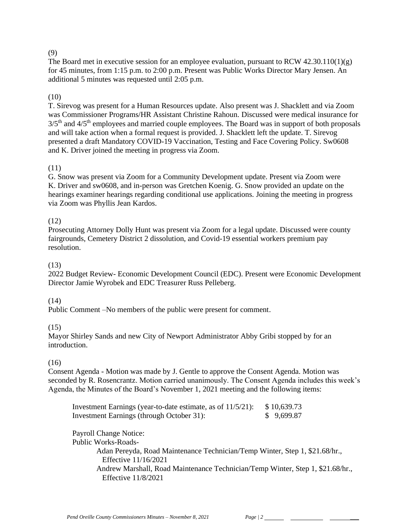### (9)

The Board met in executive session for an employee evaluation, pursuant to RCW 42.30.110(1)(g) for 45 minutes, from 1:15 p.m. to 2:00 p.m. Present was Public Works Director Mary Jensen. An additional 5 minutes was requested until 2:05 p.m.

### (10)

T. Sirevog was present for a Human Resources update. Also present was J. Shacklett and via Zoom was Commissioner Programs/HR Assistant Christine Rahoun. Discussed were medical insurance for  $3/5<sup>th</sup>$  and  $4/5<sup>th</sup>$  employees and married couple employees. The Board was in support of both proposals and will take action when a formal request is provided. J. Shacklett left the update. T. Sirevog presented a draft Mandatory COVID-19 Vaccination, Testing and Face Covering Policy. Sw0608 and K. Driver joined the meeting in progress via Zoom.

### (11)

G. Snow was present via Zoom for a Community Development update. Present via Zoom were K. Driver and sw0608, and in-person was Gretchen Koenig. G. Snow provided an update on the hearings examiner hearings regarding conditional use applications. Joining the meeting in progress via Zoom was Phyllis Jean Kardos.

## (12)

Prosecuting Attorney Dolly Hunt was present via Zoom for a legal update. Discussed were county fairgrounds, Cemetery District 2 dissolution, and Covid-19 essential workers premium pay resolution.

### (13)

2022 Budget Review- Economic Development Council (EDC). Present were Economic Development Director Jamie Wyrobek and EDC Treasurer Russ Pelleberg.

### (14)

Public Comment –No members of the public were present for comment.

### (15)

Mayor Shirley Sands and new City of Newport Administrator Abby Gribi stopped by for an introduction.

### $(16)$

Consent Agenda - Motion was made by J. Gentle to approve the Consent Agenda. Motion was seconded by R. Rosencrantz. Motion carried unanimously. The Consent Agenda includes this week's Agenda, the Minutes of the Board's November 1, 2021 meeting and the following items:

| Investment Earnings (year-to-date estimate, as of 11/5/21): | \$10,639.73 |
|-------------------------------------------------------------|-------------|
| Investment Earnings (through October 31):                   | \$9,699.87  |

Payroll Change Notice: Public Works-Roads-Adan Pereyda, Road Maintenance Technician/Temp Winter, Step 1, \$21.68/hr., Effective 11/16/2021 Andrew Marshall, Road Maintenance Technician/Temp Winter, Step 1, \$21.68/hr., Effective 11/8/2021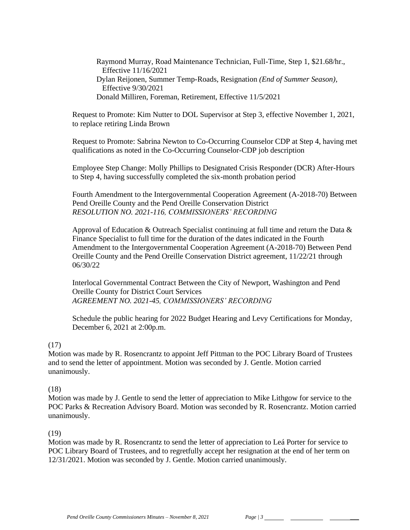Raymond Murray, Road Maintenance Technician, Full-Time, Step 1, \$21.68/hr., Effective 11/16/2021 Dylan Reijonen, Summer Temp-Roads, Resignation *(End of Summer Season),* Effective 9/30/2021 Donald Milliren, Foreman, Retirement, Effective 11/5/2021

Request to Promote: Kim Nutter to DOL Supervisor at Step 3, effective November 1, 2021, to replace retiring Linda Brown

Request to Promote: Sabrina Newton to Co-Occurring Counselor CDP at Step 4, having met qualifications as noted in the Co-Occurring Counselor-CDP job description

Employee Step Change: Molly Phillips to Designated Crisis Responder (DCR) After-Hours to Step 4, having successfully completed the six-month probation period

Fourth Amendment to the Intergovernmental Cooperation Agreement (A-2018-70) Between Pend Oreille County and the Pend Oreille Conservation District *RESOLUTION NO. 2021-116, COMMISSIONERS' RECORDING* 

Approval of Education & Outreach Specialist continuing at full time and return the Data  $\&$ Finance Specialist to full time for the duration of the dates indicated in the Fourth Amendment to the Intergovernmental Cooperation Agreement (A-2018-70) Between Pend Oreille County and the Pend Oreille Conservation District agreement, 11/22/21 through 06/30/22

Interlocal Governmental Contract Between the City of Newport, Washington and Pend Oreille County for District Court Services *AGREEMENT NO. 2021-45, COMMISSIONERS' RECORDING*

Schedule the public hearing for 2022 Budget Hearing and Levy Certifications for Monday, December 6, 2021 at 2:00p.m.

#### (17)

Motion was made by R. Rosencrantz to appoint Jeff Pittman to the POC Library Board of Trustees and to send the letter of appointment. Motion was seconded by J. Gentle. Motion carried unanimously.

#### (18)

Motion was made by J. Gentle to send the letter of appreciation to Mike Lithgow for service to the POC Parks & Recreation Advisory Board. Motion was seconded by R. Rosencrantz. Motion carried unanimously.

#### (19)

Motion was made by R. Rosencrantz to send the letter of appreciation to Leá Porter for service to POC Library Board of Trustees, and to regretfully accept her resignation at the end of her term on 12/31/2021. Motion was seconded by J. Gentle. Motion carried unanimously.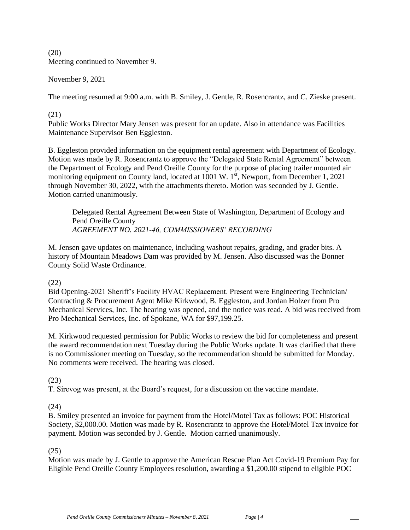(20) Meeting continued to November 9.

### November 9, 2021

The meeting resumed at 9:00 a.m. with B. Smiley, J. Gentle, R. Rosencrantz, and C. Zieske present.

#### (21)

Public Works Director Mary Jensen was present for an update. Also in attendance was Facilities Maintenance Supervisor Ben Eggleston.

B. Eggleston provided information on the equipment rental agreement with Department of Ecology. Motion was made by R. Rosencrantz to approve the "Delegated State Rental Agreement" between the Department of Ecology and Pend Oreille County for the purpose of placing trailer mounted air monitoring equipment on County land, located at  $1001 \text{ W}$ . 1<sup>st</sup>, Newport, from December 1, 2021 through November 30, 2022, with the attachments thereto. Motion was seconded by J. Gentle. Motion carried unanimously.

Delegated Rental Agreement Between State of Washington, Department of Ecology and Pend Oreille County *AGREEMENT NO. 2021-46, COMMISSIONERS' RECORDING*

M. Jensen gave updates on maintenance, including washout repairs, grading, and grader bits. A history of Mountain Meadows Dam was provided by M. Jensen. Also discussed was the Bonner County Solid Waste Ordinance.

### (22)

Bid Opening-2021 Sheriff's Facility HVAC Replacement. Present were Engineering Technician/ Contracting & Procurement Agent Mike Kirkwood, B. Eggleston, and Jordan Holzer from Pro Mechanical Services, Inc. The hearing was opened, and the notice was read. A bid was received from Pro Mechanical Services, Inc. of Spokane, WA for \$97,199.25.

M. Kirkwood requested permission for Public Works to review the bid for completeness and present the award recommendation next Tuesday during the Public Works update. It was clarified that there is no Commissioner meeting on Tuesday, so the recommendation should be submitted for Monday. No comments were received. The hearing was closed.

(23)

T. Sirevog was present, at the Board's request, for a discussion on the vaccine mandate.

(24)

B. Smiley presented an invoice for payment from the Hotel/Motel Tax as follows: POC Historical Society, \$2,000.00. Motion was made by R. Rosencrantz to approve the Hotel/Motel Tax invoice for payment. Motion was seconded by J. Gentle. Motion carried unanimously.

(25)

Motion was made by J. Gentle to approve the American Rescue Plan Act Covid-19 Premium Pay for Eligible Pend Oreille County Employees resolution, awarding a \$1,200.00 stipend to eligible POC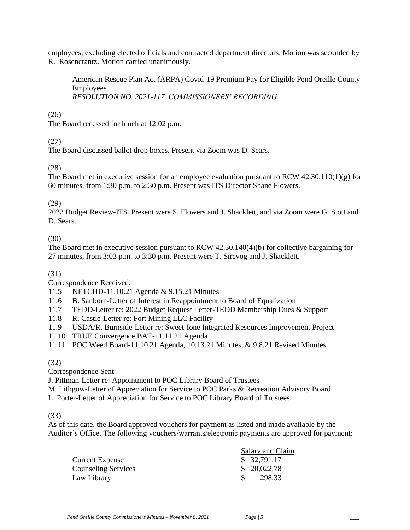employees, excluding elected officials and contracted department directors. Motion was seconded by R. Rosencrantz. Motion carried unanimously.

American Rescue Plan Act (ARPA) Covid-19 Premium Pay for Eligible Pend Oreille County Employees *RESOLUTION NO. 2021-117, COMMISSIONERS' RECORDING* 

## (26)

The Board recessed for lunch at 12:02 p.m.

## (27)

The Board discussed ballot drop boxes. Present via Zoom was D. Sears.

# (28)

The Board met in executive session for an employee evaluation pursuant to RCW 42.30.110(1)(g) for 60 minutes, from 1:30 p.m. to 2:30 p.m. Present was ITS Director Shane Flowers.

### (29)

2022 Budget Review-ITS. Present were S. Flowers and J. Shacklett, and via Zoom were G. Stott and D. Sears.

# (30)

The Board met in executive session pursuant to RCW 42.30.140(4)(b) for collective bargaining for 27 minutes, from 3:03 p.m. to 3:30 p.m. Present were T. Sirevog and J. Shacklett.

# (31)

Correspondence Received:

- 11.5 NETCHD-11.10.21 Agenda & 9.15.21 Minutes
- 11.6 B. Sanborn-Letter of Interest in Reappointment to Board of Equalization
- 11.7 TEDD-Letter re: 2022 Budget Request Letter-TEDD Membership Dues & Support
- 11.8 R. Castle-Letter re: Fort Mining LLC Facility
- 11.9 USDA/R. Burnside-Letter re: Sweet-Ione Integrated Resources Improvement Project
- 11.10 TRUE Convergence BAT-11.11.21 Agenda

11.11 POC Weed Board-11.10.21 Agenda, 10.13.21 Minutes, & 9.8.21 Revised Minutes

### (32)

Correspondence Sent:

J. Pittman-Letter re: Appointment to POC Library Board of Trustees

M. Lithgow-Letter of Appreciation for Service to POC Parks & Recreation Advisory Board L. Porter-Letter of Appreciation for Service to POC Library Board of Trustees

(33)

As of this date, the Board approved vouchers for payment as listed and made available by the Auditor's Office. The following vouchers/warrants/electronic payments are approved for payment:

|                            | Salary and Claim |
|----------------------------|------------------|
| <b>Current Expense</b>     | \$32,791.17      |
| <b>Counseling Services</b> | \$20,022.78      |
| Law Library                | 298.33           |